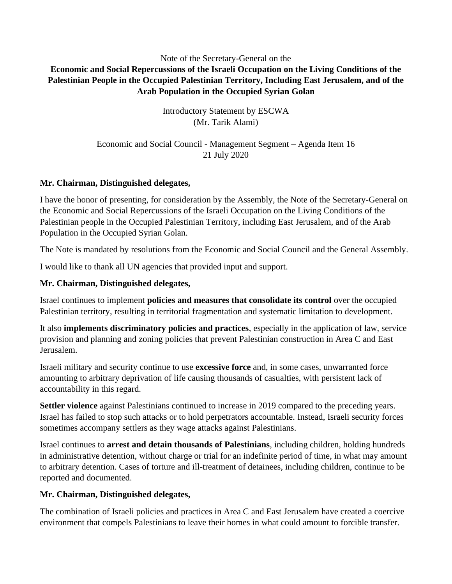## Note of the Secretary-General on the **Economic and Social Repercussions of the Israeli Occupation on the Living Conditions of the Palestinian People in the Occupied Palestinian Territory, Including East Jerusalem, and of the Arab Population in the Occupied Syrian Golan**

Introductory Statement by ESCWA (Mr. Tarik Alami)

Economic and Social Council - Management Segment – Agenda Item 16 21 July 2020

## **Mr. Chairman, Distinguished delegates,**

I have the honor of presenting, for consideration by the Assembly, the Note of the Secretary-General on the Economic and Social Repercussions of the Israeli Occupation on the Living Conditions of the Palestinian people in the Occupied Palestinian Territory, including East Jerusalem, and of the Arab Population in the Occupied Syrian Golan.

The Note is mandated by resolutions from the Economic and Social Council and the General Assembly.

I would like to thank all UN agencies that provided input and support.

# **Mr. Chairman, Distinguished delegates,**

Israel continues to implement **policies and measures that consolidate its control** over the occupied Palestinian territory, resulting in territorial fragmentation and systematic limitation to development.

It also **implements discriminatory policies and practices**, especially in the application of law, service provision and planning and zoning policies that prevent Palestinian construction in Area C and East Jerusalem.

Israeli military and security continue to use **excessive force** and, in some cases, unwarranted force amounting to arbitrary deprivation of life causing thousands of casualties, with persistent lack of accountability in this regard.

**Settler violence** against Palestinians continued to increase in 2019 compared to the preceding years. Israel has failed to stop such attacks or to hold perpetrators accountable. Instead, Israeli security forces sometimes accompany settlers as they wage attacks against Palestinians.

Israel continues to **arrest and detain thousands of Palestinians**, including children, holding hundreds in administrative detention, without charge or trial for an indefinite period of time, in what may amount to arbitrary detention. Cases of torture and ill-treatment of detainees, including children, continue to be reported and documented.

# **Mr. Chairman, Distinguished delegates,**

The combination of Israeli policies and practices in Area C and East Jerusalem have created a coercive environment that compels Palestinians to leave their homes in what could amount to forcible transfer.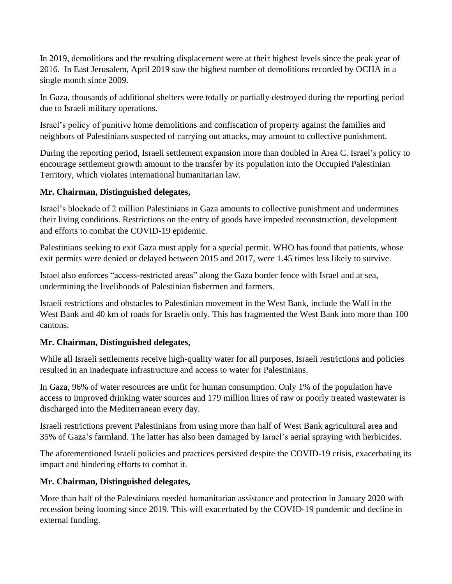In 2019, demolitions and the resulting displacement were at their highest levels since the peak year of 2016. In East Jerusalem, April 2019 saw the highest number of demolitions recorded by OCHA in a single month since 2009.

In Gaza, thousands of additional shelters were totally or partially destroyed during the reporting period due to Israeli military operations.

Israel's policy of punitive home demolitions and confiscation of property against the families and neighbors of Palestinians suspected of carrying out attacks, may amount to collective punishment.

During the reporting period, Israeli settlement expansion more than doubled in Area C. Israel's policy to encourage settlement growth amount to the transfer by its population into the Occupied Palestinian Territory, which violates international humanitarian law.

## **Mr. Chairman, Distinguished delegates,**

Israel's blockade of 2 million Palestinians in Gaza amounts to collective punishment and undermines their living conditions. Restrictions on the entry of goods have impeded reconstruction, development and efforts to combat the COVID-19 epidemic.

Palestinians seeking to exit Gaza must apply for a special permit. WHO has found that patients, whose exit permits were denied or delayed between 2015 and 2017, were 1.45 times less likely to survive.

Israel also enforces "access-restricted areas" along the Gaza border fence with Israel and at sea, undermining the livelihoods of Palestinian fishermen and farmers.

Israeli restrictions and obstacles to Palestinian movement in the West Bank, include the Wall in the West Bank and 40 km of roads for Israelis only. This has fragmented the West Bank into more than 100 cantons.

# **Mr. Chairman, Distinguished delegates,**

While all Israeli settlements receive high-quality water for all purposes, Israeli restrictions and policies resulted in an inadequate infrastructure and access to water for Palestinians.

In Gaza, 96% of water resources are unfit for human consumption. Only 1% of the population have access to improved drinking water sources and 179 million litres of raw or poorly treated wastewater is discharged into the Mediterranean every day.

Israeli restrictions prevent Palestinians from using more than half of West Bank agricultural area and 35% of Gaza's farmland. The latter has also been damaged by Israel's aerial spraying with herbicides.

The aforementioned Israeli policies and practices persisted despite the COVID-19 crisis, exacerbating its impact and hindering efforts to combat it.

### **Mr. Chairman, Distinguished delegates,**

More than half of the Palestinians needed humanitarian assistance and protection in January 2020 with recession being looming since 2019. This will exacerbated by the COVID-19 pandemic and decline in external funding.